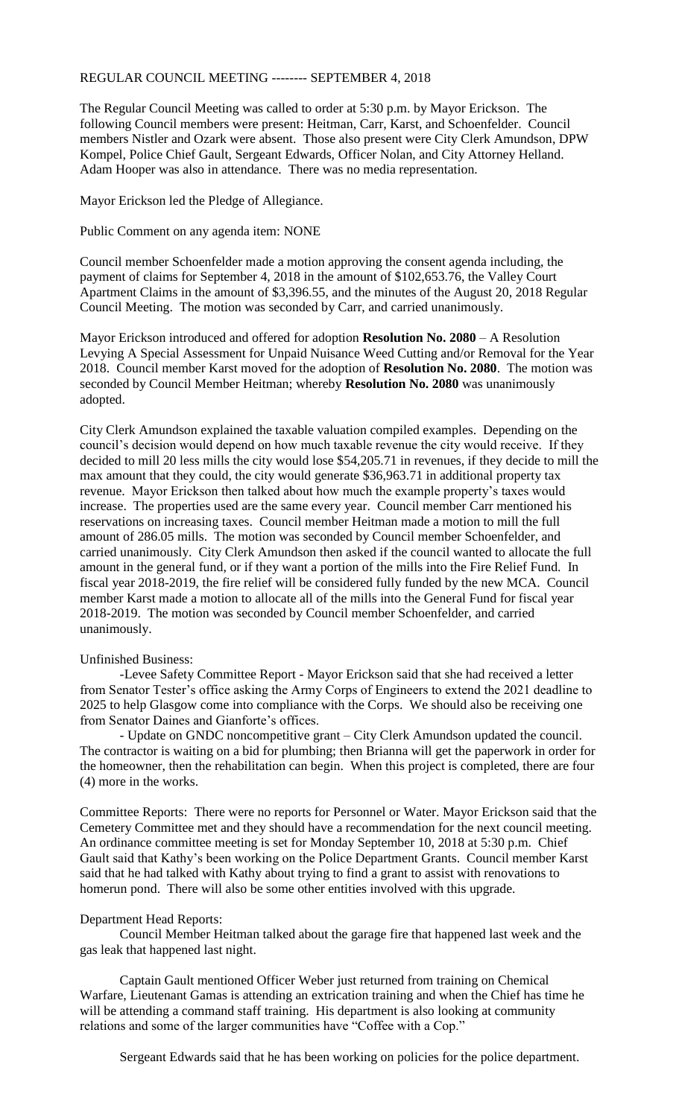## REGULAR COUNCIL MEETING -------- SEPTEMBER 4, 2018

The Regular Council Meeting was called to order at 5:30 p.m. by Mayor Erickson. The following Council members were present: Heitman, Carr, Karst, and Schoenfelder. Council members Nistler and Ozark were absent. Those also present were City Clerk Amundson, DPW Kompel, Police Chief Gault, Sergeant Edwards, Officer Nolan, and City Attorney Helland. Adam Hooper was also in attendance. There was no media representation.

Mayor Erickson led the Pledge of Allegiance.

Public Comment on any agenda item: NONE

Council member Schoenfelder made a motion approving the consent agenda including, the payment of claims for September 4, 2018 in the amount of \$102,653.76, the Valley Court Apartment Claims in the amount of \$3,396.55, and the minutes of the August 20, 2018 Regular Council Meeting. The motion was seconded by Carr, and carried unanimously.

Mayor Erickson introduced and offered for adoption **Resolution No. 2080** – A Resolution Levying A Special Assessment for Unpaid Nuisance Weed Cutting and/or Removal for the Year 2018. Council member Karst moved for the adoption of **Resolution No. 2080**. The motion was seconded by Council Member Heitman; whereby **Resolution No. 2080** was unanimously adopted.

City Clerk Amundson explained the taxable valuation compiled examples. Depending on the council's decision would depend on how much taxable revenue the city would receive. If they decided to mill 20 less mills the city would lose \$54,205.71 in revenues, if they decide to mill the max amount that they could, the city would generate \$36,963.71 in additional property tax revenue. Mayor Erickson then talked about how much the example property's taxes would increase. The properties used are the same every year. Council member Carr mentioned his reservations on increasing taxes. Council member Heitman made a motion to mill the full amount of 286.05 mills. The motion was seconded by Council member Schoenfelder, and carried unanimously. City Clerk Amundson then asked if the council wanted to allocate the full amount in the general fund, or if they want a portion of the mills into the Fire Relief Fund. In fiscal year 2018-2019, the fire relief will be considered fully funded by the new MCA. Council member Karst made a motion to allocate all of the mills into the General Fund for fiscal year 2018-2019. The motion was seconded by Council member Schoenfelder, and carried unanimously.

## Unfinished Business:

-Levee Safety Committee Report - Mayor Erickson said that she had received a letter from Senator Tester's office asking the Army Corps of Engineers to extend the 2021 deadline to 2025 to help Glasgow come into compliance with the Corps. We should also be receiving one from Senator Daines and Gianforte's offices.

- Update on GNDC noncompetitive grant – City Clerk Amundson updated the council. The contractor is waiting on a bid for plumbing; then Brianna will get the paperwork in order for the homeowner, then the rehabilitation can begin. When this project is completed, there are four (4) more in the works.

Committee Reports: There were no reports for Personnel or Water. Mayor Erickson said that the Cemetery Committee met and they should have a recommendation for the next council meeting. An ordinance committee meeting is set for Monday September 10, 2018 at 5:30 p.m. Chief Gault said that Kathy's been working on the Police Department Grants. Council member Karst said that he had talked with Kathy about trying to find a grant to assist with renovations to homerun pond. There will also be some other entities involved with this upgrade.

## Department Head Reports:

Council Member Heitman talked about the garage fire that happened last week and the gas leak that happened last night.

Captain Gault mentioned Officer Weber just returned from training on Chemical Warfare, Lieutenant Gamas is attending an extrication training and when the Chief has time he will be attending a command staff training. His department is also looking at community relations and some of the larger communities have "Coffee with a Cop."

Sergeant Edwards said that he has been working on policies for the police department.